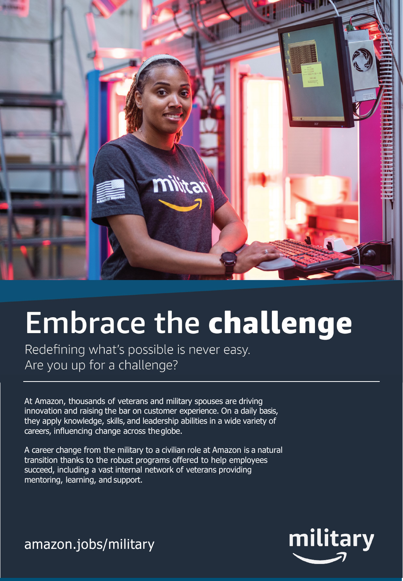

## **Embrace the challenge**

Redefining what's possible is never easy. Are you up for a challenge?

At Amazon, thousands of veterans and military spouses are driving innovation and raising the bar on customer experience. On a daily basis, they apply knowledge, skills, and leadership abilities in a wide variety of careers, influencing change across theglobe.

A career change from the military to a civilian role at Amazon is a natural transition thanks to the robust programs offered to help employees succeed, including a vast internal network of veterans providing mentoring, learning, and support.

military

amazon.jobs/military